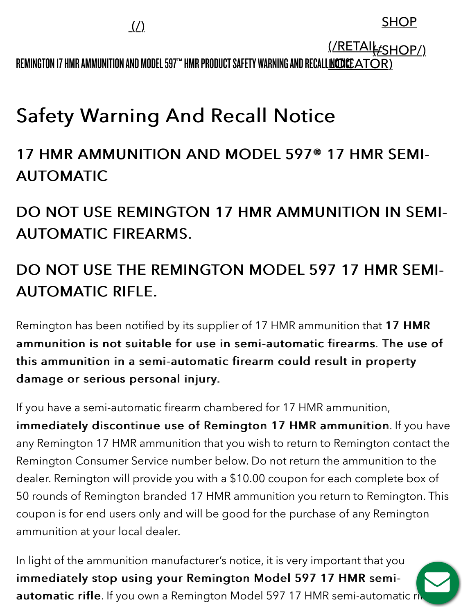REMINGTON 17 HMR AMMUNITION AND MODEL 597™ HMR PRODUCT SAFETY WARNING AND RECALL<u>inodice ator)</u> <u>(/RETAIk:SHOP/)</u>

# **Safety Warning And Recall Notice**

## 17 HMR AMMUNITION AND MODEL 597® 17 HMR SEMI- 17 HMR AMMUNITION AND MODEL 597® 17 HMR SEMI-**AUTOMATIC**

DO NOT USE REMINGTON 17 HMR AMMUNITION IN SEMI-**AUTOMATIC FIREARMS.** 

## DO NOT USE THE REMINGTON MODEL 597 17 HMR SEMI-**AUTOMATIC RIFLE.**

Remington has been notified by its supplier of 17 HMR ammunition that 17 HMR ammunition is not suitable for use in semi-automatic firearms. The use of this ammunition in a semi-automatic firearm could result in property damage or serious personal injury.

If you have a semi-automatic firearm chambered for 17 HMR ammunition, immediately discontinue use of Remington 17 HMR ammunition. If you have any Remington 17 HMR ammunition that you wish to return to Remington contact the Remington Consumer Service number below. Do not return the ammunition to the dealer. Remington will provide you with a \$10.00 coupon for each complete box of 50 rounds of Remington branded 17 HMR ammunition you return to Remington. This coupon is for end users only and will be good for the purchase of any Remington ammunition at your local dealer.

In light of the ammunition manufacturer's notice, it is very important that you immediately stop using your Remington Model 597 17 HMR semiautomatic rifle. If you own a Remington Model 597 17 HMR semi-automatic ri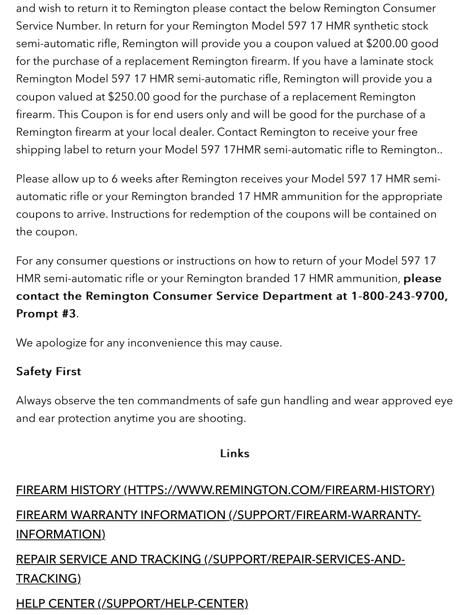and wish to return it to Remington please contact the below Remington Consumer Service Number. In return for your Remington Model 597 17 HMR synthetic stock semi-automatic rifle, Remington will provide you a coupon valued at \$200.00 good for the purchase of a replacement Remington firearm. If you have a laminate stock Remington Model 597 17 HMR semi-automatic rifle, Remington will provide you a coupon valued at \$250.00 good for the purchase of a replacement Remington firearm. This Coupon is for end users only and will be good for the purchase of a Remington firearm at your local dealer. Contact Remington to receive your free shipping label to return your Model 597 17HMR semi-automatic rifle to Remington..

Please allow up to 6 weeks after Remington receives your Model 597 17 HMR semiautomatic rifle or your Remington branded 17 HMR ammunition for the appropriate coupons to arrive. Instructions for redemption of the coupons will be contained on the coupon.

For any consumer questions or instructions on how to return of your Model 597 17 HMR semi-automatic rifle or your Remington branded 17 HMR ammunition, please contact the Remington Consumer Service Department at 1-800-243-9700, Prompt #3.

We apologize for any inconvenience this may cause.

#### **Safety First**

Always observe the ten commandments of safe gun handling and wear approved eye and ear protection anytime you are shooting.

#### Links

# [FIREARM HISTORY \(HTTPS://WWW.REMINGTON.COM/FIREARM-HISTORY\)](https://www.remington.com/firearm-history) [FIREARM WARRANTY INFORMATION \(/SUPPORT/FIREARM-WARRANTY-](https://www.remington.com/support/firearm-warranty-information)INFORMATION) [REPAIR SERVICE AND TRACKING \(/SUPPORT/REPAIR-SERVICES-AND-](https://www.remington.com/support/repair-services-and-tracking)

### TRACKING)

#### [HELP CENTER \(/SUPPORT/HELP-CENTER\)](https://www.remington.com/support/help-center)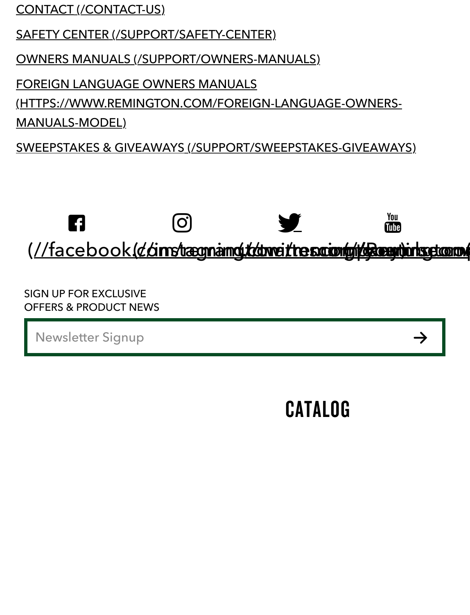[CONTACT \(/CONTACT-US\)](https://www.remington.com/contact-us)

[SAFETY CENTER \(/SUPPORT/SAFETY-CENTER\)](https://www.remington.com/support/safety-center)

[OWNERS MANUALS \(/SUPPORT/OWNERS-MANUALS\)](https://www.remington.com/support/owners-manuals)

FOREIGN LANGUAGE OWNERS MANUALS [\(HTTPS://WWW.REMINGTON.COM/FOREIGN-LANGUAGE-OWNERS-](https://www.remington.com/foreign-language-owners-manuals-model)MANUALS-MODEL)

[SWEEPSTAKES & GIVEAWAYS \(/SUPPORT/SWEEPSTAKES-GIVEAWAYS\)](https://www.remington.com/support/sweepstakes-giveaways)



SIGN UP FOR EXCLUSIVE OFFERS & PRODUCT NEWS

**Newsletter Signup** 

# **[C](https://secure.viewer.zmags.com/publication/1b59a32c)ATALOG**